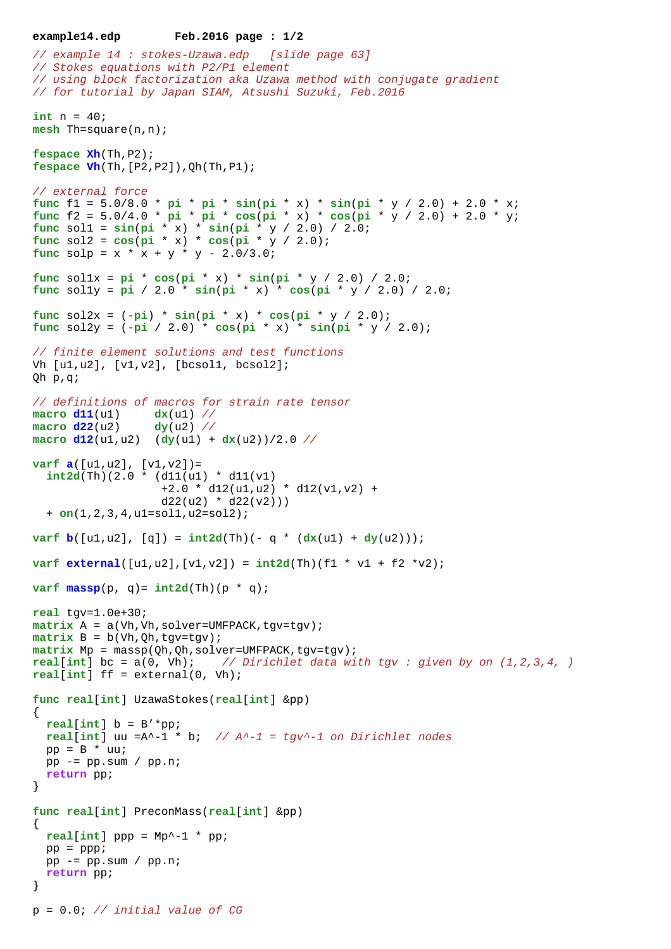```
example14.edp Feb.2016 page : 1/2
// example 14 : stokes-Uzawa.edp [slide page 63]
// Stokes equations with P2/P1 element
// using block factorization aka Uzawa method with conjugate gradient
// for tutorial by Japan SIAM, Atsushi Suzuki, Feb.2016
int n = 40;
mesh Th=square(n,n); 
fespace Xh(Th,P2);
fespace Vh(Th,[P2,P2]),Qh(Th,P1);
// external force
func f1 = 5.0/8.0 * pi * pi * sin(pi * x) * sin(pi * y / 2.0) + 2.0 * x;
func f2 = 5.0/4.0 * pi * pi * cos(pi * x) * cos(pi * y / 2.0) + 2.0 * y;
func sol1 = sin(pi * x) * sin(pi * y / 2.0) / 2.0;
func sol2 = \cos(\pi x) * \cos(\pi x) * (\sin(\pi x) + \cos(\pi x));
func solp = x * x + y * y - 2.0/3.0;
func sollx = pi' * cos(pi * x) * sin(pi * y / 2.0) / 2.0;func sol1y = pi / 2.0 * sin(pi * x) * cos(pi * y / 2.0) / 2.0;
func sol2x = (-pi) * sin(pi * x) * cos(pi * y / 2.0);func sol2y = (-pi / 2.0) * cos(pi * x) * sin(pi * y / 2.0);
// finite element solutions and test functions
Vh [u1,u2], [v1,v2], [bcsol1, bcsol2];
Qh p,q;
// definitions of macros for strain rate tensor
macro d11(u1) dx(u1) //
macro d22(u2) dy(u2) //
\frac{d12(u1, u2)}{dy(u1) + dx(u2)}varf a([u1, u2], [v1, v2]) = int2d(Th)(2.0 * (d11(u1) * d11(v1)
                    +2.0 * d12(ul, u2) * d12(v1, v2) +d22( u2 ) * d22( v2) ) + on(1,2,3,4,u1=sol1,u2=sol2);
varf b([u1, u2], [q]) = int2d(Th)(-q * (dx(u1) + dy(u2)));
varf external([u1, u2], [v1, v2]) = \text{int2d(Th)}(f1 * v1 + f2 *v2);varf \text{massp}(p, q) = \text{int2d}(Th)(p * q);real tgv=1.0e+30;
matrix A = a(Vh, Vh, solver=UMFPACK, tyv=tgv);matrix B = b(Vh, Qh, tgv=tgv);matrix Mp = massp(Qh,Qh,solver=UMFPACK,tgv=tgv);
real[int] bc = a(0, Vh); // Dirichlet data with tgv : given by on (1,2,3,4, )
real[int] ff = external(0, Vh);
func real[int] UzawaStokes(real[int] &pp)
{
  real[int] b = B'*pp;
 real[int] uu =A^{\wedge}-1 * b; // A^{\wedge}-1 = tgv^{\wedge}-1 on Dirichlet nodes
 pp = B * uu; pp -= pp.sum / pp.n;
   return pp;
}
func real[int] PreconMass(real[int] &pp)
{
 real(int] ppp = Mp<sup>\sim-1</sup> * pp;
 pp = ppp;pp = pp.sum / pp.n; return pp;
}
p = 0.0; // initial value of CG
```